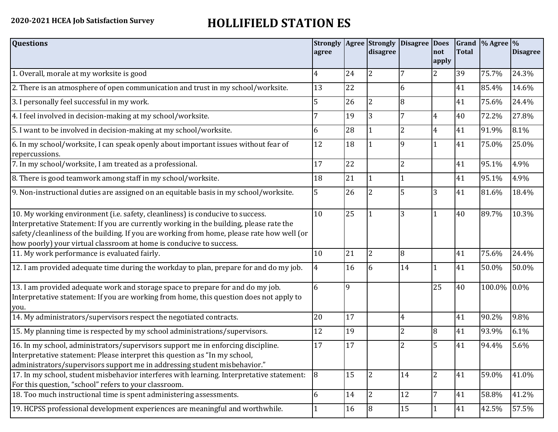## **2020-2021 HCEA Job Satisfaction Survey HOLLIFIELD STATION ES**

| <b>Questions</b>                                                                                                                                                                                                                                                                                                                               | agree |              | disagree       | Strongly   Agree   Strongly   Disagree | <b>Does</b><br>not<br>apply | <b>Total</b> | Grand % Agree % | <b>Disagree</b> |
|------------------------------------------------------------------------------------------------------------------------------------------------------------------------------------------------------------------------------------------------------------------------------------------------------------------------------------------------|-------|--------------|----------------|----------------------------------------|-----------------------------|--------------|-----------------|-----------------|
| 1. Overall, morale at my worksite is good                                                                                                                                                                                                                                                                                                      | 4     | 24           | 2              |                                        | 2                           | 39           | 75.7%           | 24.3%           |
| 2. There is an atmosphere of open communication and trust in my school/worksite.                                                                                                                                                                                                                                                               | 13    | 22           |                | 6                                      |                             | 41           | 85.4%           | 14.6%           |
| 3. I personally feel successful in my work.                                                                                                                                                                                                                                                                                                    | 5     | 26           | 2              | 8                                      |                             | 41           | 75.6%           | 24.4%           |
| 4. I feel involved in decision-making at my school/worksite.                                                                                                                                                                                                                                                                                   |       | 19           | 3              | 7                                      | 4                           | 40           | 72.2%           | 27.8%           |
| 5. I want to be involved in decision-making at my school/worksite.                                                                                                                                                                                                                                                                             | 6     | 28           |                | $\overline{2}$                         | $\overline{4}$              | 41           | 91.9%           | 8.1%            |
| 6. In my school/worksite, I can speak openly about important issues without fear of<br>repercussions.                                                                                                                                                                                                                                          | 12    | 18           |                | 9                                      |                             | 41           | 75.0%           | 25.0%           |
| 7. In my school/worksite, I am treated as a professional.                                                                                                                                                                                                                                                                                      | 17    | 22           |                | $\overline{2}$                         |                             | 41           | 95.1%           | 4.9%            |
| 8. There is good teamwork among staff in my school/worksite.                                                                                                                                                                                                                                                                                   | 18    | 21           |                |                                        |                             | 41           | 95.1%           | 4.9%            |
| 9. Non-instructional duties are assigned on an equitable basis in my school/worksite.                                                                                                                                                                                                                                                          | 5     | 26           | 2              | 5                                      | 3                           | 41           | 81.6%           | 18.4%           |
| 10. My working environment (i.e. safety, cleanliness) is conducive to success.<br>Interpretative Statement: If you are currently working in the building, please rate the<br>safety/cleanliness of the building. If you are working from home, please rate how well (or<br>how poorly) your virtual classroom at home is conducive to success. | 10    | 25           |                | 3                                      | $\mathbf{1}$                | 40           | 89.7%           | 10.3%           |
| 11. My work performance is evaluated fairly.                                                                                                                                                                                                                                                                                                   | 10    | 21           | $\overline{2}$ | 8                                      |                             | 41           | 75.6%           | 24.4%           |
| 12. I am provided adequate time during the workday to plan, prepare for and do my job.                                                                                                                                                                                                                                                         | 4     | 16           | 6              | 14                                     |                             | 41           | 50.0%           | 50.0%           |
| 13. I am provided adequate work and storage space to prepare for and do my job.<br>Interpretative statement: If you are working from home, this question does not apply to<br>you.                                                                                                                                                             | 6     | $\mathbf{q}$ |                |                                        | 25                          | 40           | 100.0% 0.0%     |                 |
| 14. My administrators/supervisors respect the negotiated contracts.                                                                                                                                                                                                                                                                            | 20    | 17           |                | $\overline{4}$                         |                             | 41           | 90.2%           | 9.8%            |
| 15. My planning time is respected by my school administrations/supervisors.                                                                                                                                                                                                                                                                    | 12    | 19           |                | 2                                      | 8                           | 41           | 93.9%           | 6.1%            |
| 16. In my school, administrators/supervisors support me in enforcing discipline.<br>Interpretative statement: Please interpret this question as "In my school,<br>administrators/supervisors support me in addressing student misbehavior."                                                                                                    | 17    | 17           |                |                                        | 5                           | 41           | 94.4%           | 5.6%            |
| 17. In my school, student misbehavior interferes with learning. Interpretative statement:<br>For this question, "school" refers to your classroom.                                                                                                                                                                                             | 8     | 15           | $\overline{2}$ | 14                                     | $\overline{2}$              | 41           | 59.0%           | 41.0%           |
| 18. Too much instructional time is spent administering assessments.                                                                                                                                                                                                                                                                            | 6     | 14           | $\overline{2}$ | 12                                     |                             | 41           | 58.8%           | 41.2%           |
| 19. HCPSS professional development experiences are meaningful and worthwhile.                                                                                                                                                                                                                                                                  |       | 16           | 8              | 15                                     | $\mathbf{1}$                | 41           | 42.5%           | 57.5%           |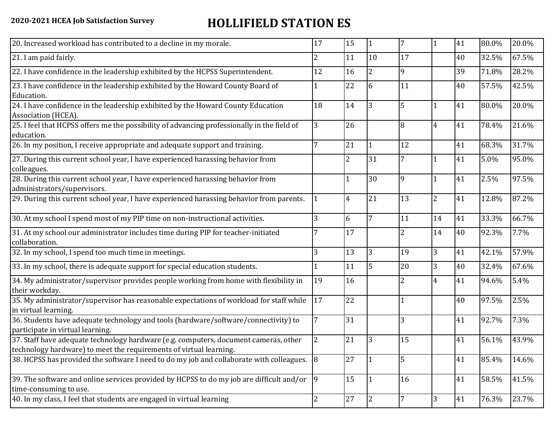## **2020-2021 HCEA Job Satisfaction Survey HOLLIFIELD STATION ES**

| 20. Increased workload has contributed to a decline in my morale.                                                                                          | 17 | 15             | 1              | 7              | 1              | 41 | 80.0% | 20.0% |
|------------------------------------------------------------------------------------------------------------------------------------------------------------|----|----------------|----------------|----------------|----------------|----|-------|-------|
| 21. I am paid fairly.                                                                                                                                      | 2  | 11             | 10             | 17             |                | 40 | 32.5% | 67.5% |
| 22. I have confidence in the leadership exhibited by the HCPSS Superintendent.                                                                             | 12 | 16             | 2              | 9              |                | 39 | 71.8% | 28.2% |
| 23. I have confidence in the leadership exhibited by the Howard County Board of<br>Education.                                                              |    | 22             | 6              | 11             |                | 40 | 57.5% | 42.5% |
| 24. I have confidence in the leadership exhibited by the Howard County Education<br>Association (HCEA).                                                    | 18 | 14             | 3              | 5              |                | 41 | 80.0% | 20.0% |
| 25. I feel that HCPSS offers me the possibility of advancing professionally in the field of<br>education.                                                  | 3  | 26             |                | 8              | $\overline{4}$ | 41 | 78.4% | 21.6% |
| 26. In my position, I receive appropriate and adequate support and training.                                                                               |    | 21             | $\mathbf{1}$   | 12             |                | 41 | 68.3% | 31.7% |
| 27. During this current school year, I have experienced harassing behavior from<br>colleagues.                                                             |    | $\overline{2}$ | 31             | 7              |                | 41 | 5.0%  | 95.0% |
| 28. During this current school year, I have experienced harassing behavior from<br>administrators/supervisors.                                             |    | $\mathbf{1}$   | 30             | 9              | $\mathbf{1}$   | 41 | 2.5%  | 97.5% |
| 29. During this current school year, I have experienced harassing behavior from parents.                                                                   |    | 4              | 21             | 13             | $\overline{c}$ | 41 | 12.8% | 87.2% |
| 30. At my school I spend most of my PIP time on non-instructional activities.                                                                              | 3  | 6              | 7              | 11             | 14             | 41 | 33.3% | 66.7% |
| 31. At my school our administrator includes time during PIP for teacher-initiated<br>collaboration.                                                        |    | 17             |                | $\overline{2}$ | 14             | 40 | 92.3% | 7.7%  |
| 32. In my school, I spend too much time in meetings.                                                                                                       | 3  | 13             | $\overline{3}$ | 19             | 3              | 41 | 42.1% | 57.9% |
| 33. In my school, there is adequate support for special education students.                                                                                |    | 11             | 5              | 20             | 3              | 40 | 32.4% | 67.6% |
| 34. My administrator/supervisor provides people working from home with flexibility in<br>their workday.                                                    | 19 | 16             |                | 2              | $\overline{4}$ | 41 | 94.6% | 5.4%  |
| 35. My administrator/supervisor has reasonable expectations of workload for staff while<br>in virtual learning.                                            | 17 | 22             |                |                |                | 40 | 97.5% | 2.5%  |
| 36. Students have adequate technology and tools (hardware/software/connectivity) to<br>participate in virtual learning.                                    |    | 31             |                | 3              |                | 41 | 92.7% | 7.3%  |
| 37. Staff have adequate technology hardware (e.g. computers, document cameras, other<br>technology hardware) to meet the requirements of virtual learning. | 2  | 21             | 3              | 15             |                | 41 | 56.1% | 43.9% |
| 38. HCPSS has provided the software I need to do my job and collaborate with colleagues. 8                                                                 |    | 27             | 1              | 5              |                | 41 | 85.4% | 14.6% |
| 39. The software and online services provided by HCPSS to do my job are difficult and/or<br>time-consuming to use.                                         | 9  | 15             | 1              | 16             |                | 41 | 58.5% | 41.5% |
| 40. In my class, I feel that students are engaged in virtual learning                                                                                      | 2  | 27             | <b>2</b>       | 7              | 3              | 41 | 76.3% | 23.7% |